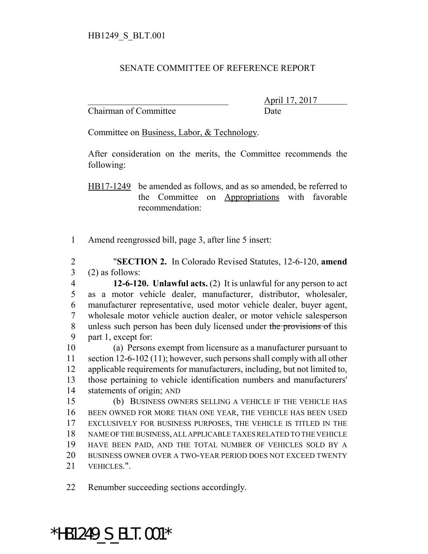## SENATE COMMITTEE OF REFERENCE REPORT

Chairman of Committee **Date** 

\_\_\_\_\_\_\_\_\_\_\_\_\_\_\_\_\_\_\_\_\_\_\_\_\_\_\_\_\_\_\_ April 17, 2017

Committee on Business, Labor, & Technology.

After consideration on the merits, the Committee recommends the following:

HB17-1249 be amended as follows, and as so amended, be referred to the Committee on Appropriations with favorable recommendation:

Amend reengrossed bill, page 3, after line 5 insert:

 "**SECTION 2.** In Colorado Revised Statutes, 12-6-120, **amend** (2) as follows:

 **12-6-120. Unlawful acts.** (2) It is unlawful for any person to act as a motor vehicle dealer, manufacturer, distributor, wholesaler, manufacturer representative, used motor vehicle dealer, buyer agent, wholesale motor vehicle auction dealer, or motor vehicle salesperson 8 unless such person has been duly licensed under the provisions of this part 1, except for:

 (a) Persons exempt from licensure as a manufacturer pursuant to section 12-6-102 (11); however, such persons shall comply with all other applicable requirements for manufacturers, including, but not limited to, those pertaining to vehicle identification numbers and manufacturers' statements of origin; AND

 (b) BUSINESS OWNERS SELLING A VEHICLE IF THE VEHICLE HAS BEEN OWNED FOR MORE THAN ONE YEAR, THE VEHICLE HAS BEEN USED EXCLUSIVELY FOR BUSINESS PURPOSES, THE VEHICLE IS TITLED IN THE NAME OF THE BUSINESS, ALL APPLICABLE TAXES RELATED TO THE VEHICLE HAVE BEEN PAID, AND THE TOTAL NUMBER OF VEHICLES SOLD BY A BUSINESS OWNER OVER A TWO-YEAR PERIOD DOES NOT EXCEED TWENTY VEHICLES.".

Renumber succeeding sections accordingly.

## \*HB1249\_S\_BLT.001\*